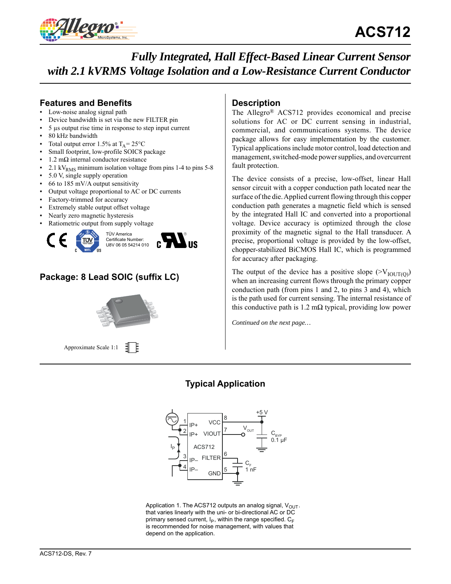

# **Features and Benefits**

- Low-noise analog signal path
- Device bandwidth is set via the new FILTER pin
- 5 μs output rise time in response to step input current
- 80 kHz bandwidth
- Total output error 1.5% at  $T_A = 25^{\circ}C$
- Small footprint, low-profile SOIC8 package
- $1.2$  mΩ internal conductor resistance
- 2.1 kV<sub>RMS</sub> minimum isolation voltage from pins 1-4 to pins 5-8
- 5.0 V, single supply operation
- $66$  to 185 mV/A output sensitivity
- Output voltage proportional to AC or DC currents
- Factory-trimmed for accuracy
- Extremely stable output offset voltage
- Nearly zero magnetic hysteresis
- Ratiometric output from supply voltage





# **Package: 8 Lead SOIC (suffix LC)**

Approximate Scale 1:1 引目

# **Description**

The Allegro® ACS712 provides economical and precise solutions for AC or DC current sensing in industrial, commercial, and communications systems. The device package allows for easy implementation by the customer. Typical applications include motor control, load detection and management, switched-mode power supplies, and overcurrent fault protection.

The device consists of a precise, low-offset, linear Hall sensor circuit with a copper conduction path located near the surface of the die. Applied current flowing through this copper conduction path generates a magnetic field which is sensed by the integrated Hall IC and converted into a proportional voltage. Device accuracy is optimized through the close proximity of the magnetic signal to the Hall transducer. A precise, proportional voltage is provided by the low-offset, chopper-stabilized BiCMOS Hall IC, which is programmed for accuracy after packaging.

The output of the device has a positive slope  $(>V_{\text{IOUTI}})$ when an increasing current flows through the primary copper conduction path (from pins 1 and 2, to pins 3 and 4), which is the path used for current sensing. The internal resistance of this conductive path is  $1.2 \text{ m}\Omega$  typical, providing low power

*Continued on the next page…*

# **Typical Application**



Application 1. The ACS712 outputs an analog signal,  $V_{OUT}$ . that varies linearly with the uni- or bi-directional AC or DC primary sensed current,  $I_P$ , within the range specified.  $C_F$ is recommended for noise management, with values that depend on the application.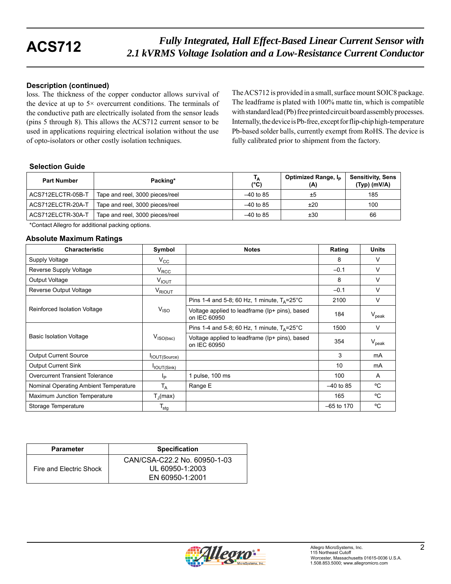## **Description (continued)**

loss. The thickness of the copper conductor allows survival of the device at up to  $5 \times$  overcurrent conditions. The terminals of the conductive path are electrically isolated from the sensor leads (pins 5 through 8). This allows the ACS712 current sensor to be used in applications requiring electrical isolation without the use of opto-isolators or other costly isolation techniques.

The ACS712 is provided in a small, surface mount SOIC8 package. The leadframe is plated with 100% matte tin, which is compatible with standard lead (Pb) free printed circuit board assembly processes. Internally, the device is Pb-free, except for flip-chip high-temperature Pb-based solder balls, currently exempt from RoHS. The device is fully calibrated prior to shipment from the factory.

## **Selection Guide**

| <b>Part Number</b> | Packing*                        | Тд<br>$(^{\circ}C)$ | Optimized Range, I <sub>p</sub><br>(A) | <b>Sensitivity, Sens</b><br>$(Typ)$ (mV/A) |
|--------------------|---------------------------------|---------------------|----------------------------------------|--------------------------------------------|
| ACS712ELCTR-05B-T  | Tape and reel, 3000 pieces/reel | $-40$ to 85         | ±5                                     | 185                                        |
| ACS712ELCTR-20A-T  | Tape and reel, 3000 pieces/reel | $-40$ to 85         | ±20                                    | 100                                        |
| ACS712ELCTR-30A-T  | Tape and reel, 3000 pieces/reel | $-40$ to 85         | ±30                                    | 66                                         |

\*Contact Allegro for additional packing options.

### **Absolute Maximum Ratings**

| <b>Characteristic</b>                 | Symbol                           | <b>Notes</b>                                                   | Rating       | <b>Units</b>   |
|---------------------------------------|----------------------------------|----------------------------------------------------------------|--------------|----------------|
| Supply Voltage                        | $V_{\rm CC}$                     |                                                                | 8            | v              |
| Reverse Supply Voltage                | $V_{RCC}$                        |                                                                | $-0.1$       | v              |
| Output Voltage                        | $V_{IOUT}$                       |                                                                | 8            | $\vee$         |
| Reverse Output Voltage                | V <sub>RIOUT</sub>               |                                                                | $-0.1$       | V              |
|                                       |                                  | Pins 1-4 and 5-8; 60 Hz, 1 minute, $T_A = 25^{\circ}$ C        | 2100         | $\vee$         |
| Reinforced Isolation Voltage          | V <sub>ISO</sub>                 | Voltage applied to leadframe (Ip+ pins), based<br>on IEC 60950 | 184          | $V_{\rm peak}$ |
|                                       |                                  | Pins 1-4 and 5-8; 60 Hz, 1 minute, $T_{\Delta}$ =25°C          | 1500         | V              |
| <b>Basic Isolation Voltage</b>        | $V_{\mathsf{ISO}(\mathsf{bsc})}$ | Voltage applied to leadframe (Ip+ pins), based<br>on IEC 60950 | 354          | $V_{\rm peak}$ |
| <b>Output Current Source</b>          | IOUT(Source)                     |                                                                | 3            | mA             |
| <b>Output Current Sink</b>            | IOUT(Sink)                       |                                                                | 10           | mA             |
| Overcurrent Transient Tolerance       | Ιp                               | 1 pulse, 100 ms                                                | 100          | A              |
| Nominal Operating Ambient Temperature | T <sub>A</sub>                   | Range E                                                        | $-40$ to 85  | °C             |
| Maximum Junction Temperature          | $T_{\rm d}$ (max)                |                                                                | 165          | °C             |
| Storage Temperature                   | $\mathsf{T}_{\mathsf{stg}}$      |                                                                | $-65$ to 170 | °C             |

| <b>Parameter</b>        | <b>Specification</b>                            |
|-------------------------|-------------------------------------------------|
| Fire and Electric Shock | CAN/CSA-C22.2 No. 60950-1-03<br>UL 60950-1:2003 |
|                         | EN 60950-1:2001                                 |

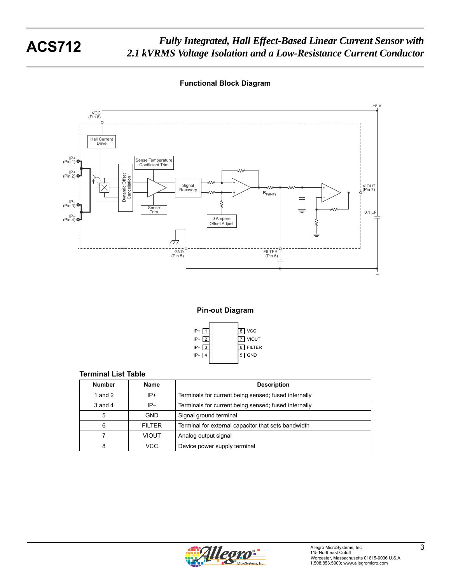**Functional Block Diagram**



**Pin-out Diagram**



### **Terminal List Table**

| <b>Number</b> | Name          | <b>Description</b>                                   |
|---------------|---------------|------------------------------------------------------|
| 1 and $2$     | $IP+$         | Terminals for current being sensed; fused internally |
| $3$ and $4$   | $IP-$         | Terminals for current being sensed; fused internally |
| 5             | <b>GND</b>    | Signal ground terminal                               |
| 6             | <b>FILTER</b> | Terminal for external capacitor that sets bandwidth  |
|               | VIOUT         | Analog output signal                                 |
| 8             | VCC.          | Device power supply terminal                         |

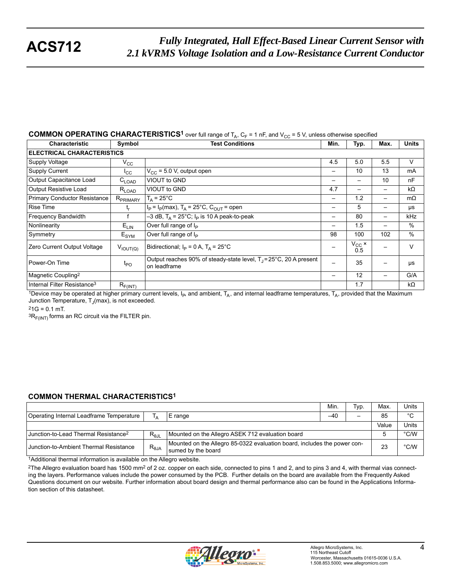## **COMMON OPERATING CHARACTERISTICS<sup>1</sup>** over full range of  $T_A$ ,  $C_F$  = 1 nF, and  $V_{CC}$  = 5 V, unless otherwise specified

| <b>Characteristic</b>                   | Symbol               | <b>Test Conditions</b>                                                                       | Min.                     | Typ.               | Max. | <b>Units</b>  |  |  |
|-----------------------------------------|----------------------|----------------------------------------------------------------------------------------------|--------------------------|--------------------|------|---------------|--|--|
| <b>ELECTRICAL CHARACTERISTICS</b>       |                      |                                                                                              |                          |                    |      |               |  |  |
| Supply Voltage                          | $V_{\rm CC}$         |                                                                                              | 4.5                      | 5.0                | 5.5  | V             |  |  |
| <b>Supply Current</b>                   | $I_{\rm CC}$         | $V_{CC}$ = 5.0 V, output open                                                                | $\overline{\phantom{m}}$ | 10                 | 13   | mA            |  |  |
| Output Capacitance Load                 | $C_{\mathsf{LOAD}}$  | VIOUT to GND                                                                                 | -                        |                    | 10   | nF            |  |  |
| <b>Output Resistive Load</b>            | $R_{LOAD}$           | VIOUT to GND                                                                                 | 4.7                      |                    |      | $k\Omega$     |  |  |
| Primary Conductor Resistance            | R <sub>PRIMARY</sub> | $T_A = 25^{\circ}C$                                                                          | -                        | 1.2                |      | $m\Omega$     |  |  |
| <b>Rise Time</b>                        | t,                   | $I_P = I_P(max)$ , T <sub>A</sub> = 25°C, C <sub>OUT</sub> = open                            |                          | 5                  |      | μs            |  |  |
| Frequency Bandwidth                     |                      | $-3$ dB, T <sub>A</sub> = 25°C; I <sub>P</sub> is 10 A peak-to-peak                          | -                        | 80                 | —    | kHz           |  |  |
| Nonlinearity                            | $E_{LIN}$            | Over full range of $I_P$                                                                     | —                        | 1.5                |      | $\frac{0}{0}$ |  |  |
| Symmetry                                | $E_{\text{SYM}}$     | Over full range of I <sub>P</sub>                                                            | 98                       | 100                | 102  | $\%$          |  |  |
| Zero Current Output Voltage             | $V_{IOUT(Q)}$        | Bidirectional; $I_P = 0 A$ , $T_A = 25^{\circ}C$                                             |                          | $V_{\rm CC}$ × 0.5 |      | V             |  |  |
| l Power-On Time                         | $t_{PO}$             | Output reaches 90% of steady-state level, $T_1 = 25^{\circ}C$ , 20 A present<br>on leadframe | —                        | 35                 |      | μs            |  |  |
| Magnetic Coupling <sup>2</sup>          |                      |                                                                                              | —                        | 12                 |      | G/A           |  |  |
| Internal Filter Resistance <sup>3</sup> | $R_{F(INT)}$         |                                                                                              |                          | 1.7                |      | kΩ            |  |  |

1Device may be operated at higher primary current levels,  $I_P$ , and ambient,  $T_A$ , and internal leadframe temperatures,  $T_A$ , provided that the Maximum Junction Temperature,  $T_J$ (max), is not exceeded.

 $21G = 0.1$  mT.

 ${}^{3}R_{F(INT)}$  forms an RC circuit via the FILTER pin.

### **COMMON THERMAL CHARACTERISTICS1**

|                                                  |                   |                                                                                                | Min.  | Typ. | Max.  | Units       |
|--------------------------------------------------|-------------------|------------------------------------------------------------------------------------------------|-------|------|-------|-------------|
| Operating Internal Leadframe Temperature         | Тд                | E range                                                                                        | $-40$ |      | 85    | $^{\circ}C$ |
|                                                  |                   |                                                                                                |       |      | Value | Units       |
| Junction-to-Lead Thermal Resistance <sup>2</sup> | $R_{0,\text{IL}}$ | Mounted on the Allegro ASEK 712 evaluation board                                               |       |      |       | °C/W        |
| Junction-to-Ambient Thermal Resistance           | $R_{\theta$ JA    | Mounted on the Allegro 85-0322 evaluation board, includes the power con-<br>sumed by the board |       | 23   | °C/W  |             |

1Additional thermal information is available on the Allegro website.

<sup>2</sup>The Allegro evaluation board has 1500 mm<sup>2</sup> of 2 oz. copper on each side, connected to pins 1 and 2, and to pins 3 and 4, with thermal vias connecting the layers. Performance values include the power consumed by the PCB. Further details on the board are available from the Frequently Asked Questions document on our website. Further information about board design and thermal performance also can be found in the Applications Information section of this datasheet.

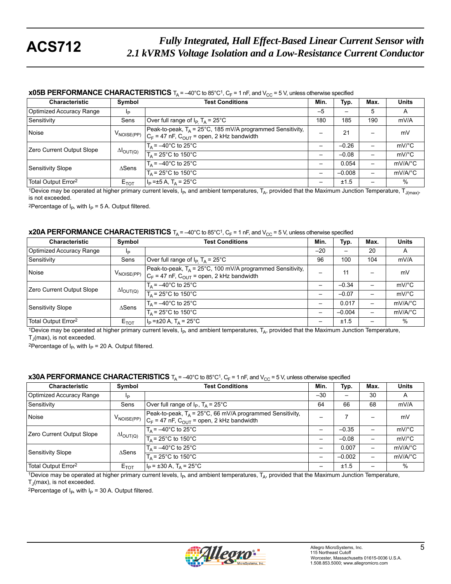### **x05B PERFORMANCE CHARACTERISTICS**  $T_A = -40^\circ$ C to 85°C<sup>1</sup>,  $C_F = 1$  nF, and  $V_{CC} = 5$  V, unless otherwise specified

| <b>Characteristic</b>           | Symbol                     | <b>Test Conditions</b>                                                                                           | Min. | Typ.     | Max. | <b>Units</b>          |
|---------------------------------|----------------------------|------------------------------------------------------------------------------------------------------------------|------|----------|------|-----------------------|
| Optimized Accuracy Range        | Ip                         |                                                                                                                  | $-5$ |          | 5    | A                     |
| l Sensitivitv                   | Sens                       | Over full range of $I_P$ T <sub>A</sub> = 25°C                                                                   | 180  | 185      | 190  | mV/A                  |
| Noise                           | $V_{\text{NOISE(PP)}}$     | Peak-to-peak, $T_A$ = 25°C, 185 mV/A programmed Sensitivity,<br>$C_F$ = 47 nF, $C_{OUT}$ = open, 2 kHz bandwidth |      | 21       |      | mV                    |
| Zero Current Output Slope       | $\Delta I_{\text{OUT}(Q)}$ | $T_A = -40^{\circ}$ C to 25°C                                                                                    |      | $-0.26$  |      | $mV$ °C               |
|                                 |                            | $T_A$ = 25°C to 150°C                                                                                            | —    | $-0.08$  |      | $mV$ °C               |
| Sensitivity Slope               | $\triangle$ Sens           | $T_{\Delta}$ = $-40^{\circ}$ C to 25 $^{\circ}$ C                                                                |      | 0.054    |      | $mV/A$ <sup>°</sup> C |
|                                 |                            | $T_A$ = 25°C to 150°C                                                                                            |      | $-0.008$ |      | $mV/A$ <sup>o</sup> C |
| Total Output Error <sup>2</sup> | $E_{TOT}$                  | $ I_{\rm p}$ =±5 A, T <sub>a</sub> = 25°C                                                                        |      | ±1.5     |      | %                     |

<sup>1</sup>Device may be operated at higher primary current levels, I<sub>P</sub>, and ambient temperatures, T<sub>A</sub>, provided that the Maximum Junction Temperature, T<sub>J(max)</sub>, is not exceeded.

<sup>2</sup>Percentage of  $I_P$ , with  $I_P = 5$  A. Output filtered.

### **x20A PERFORMANCE CHARACTERISTICS**  $T_A = -40^\circ$ C to 85 $^\circ$ C<sup>1</sup>, C<sub>F</sub> = 1 nF, and V<sub>CC</sub> = 5 V, unless otherwise specified

| <b>Characteristic</b>           | Symbol                     | <b>Test Conditions</b>                                                                                                                                    | Min.  | Typ.     | Max. | <b>Units</b>          |
|---------------------------------|----------------------------|-----------------------------------------------------------------------------------------------------------------------------------------------------------|-------|----------|------|-----------------------|
| Optimized Accuracy Range        | Ιp                         |                                                                                                                                                           | $-20$ | —        | 20   | A                     |
| l Sensitivitv                   | Sens                       | Over full range of $I_P$ T <sub>A</sub> = 25°C                                                                                                            | 96    | 100      | 104  | mV/A                  |
| Noise                           |                            | Peak-to-peak, T <sub>A</sub> = 25°C, 100 mV/A programmed Sensitivity,<br>$V_{\text{NOISE(PP)}}  _{C_F}$ = 47 nF, $C_{\text{OUT}}$ = open, 2 kHz bandwidth |       | 11       |      | mV                    |
| Zero Current Output Slope       | $\Delta I_{\text{OUT}(Q)}$ | $T_A = -40^\circ \text{C}$ to 25°C                                                                                                                        |       | $-0.34$  |      | $mV$ °C               |
|                                 |                            | $T_A$ = 25°C to 150°C                                                                                                                                     | -     | $-0.07$  |      | $mV$ °C               |
| Sensitivity Slope               | $\triangle$ Sens           | $T_A = -40$ °C to 25°C                                                                                                                                    | -     | 0.017    |      | $mV/A$ <sup>o</sup> C |
|                                 |                            | $T_A$ = 25°C to 150°C                                                                                                                                     |       | $-0.004$ |      | $mV/A$ <sup>o</sup> C |
| Total Output Error <sup>2</sup> | $E_{TOT}$                  | $I_P = \pm 20 A$ , T <sub>A</sub> = 25°C                                                                                                                  |       | ±1.5     |      | $\%$                  |

1Device may be operated at higher primary current levels,  $I_{P}$ , and ambient temperatures,  $T_A$ , provided that the Maximum Junction Temperature,  $T_J$ (max), is not exceeded.

<sup>2</sup>Percentage of  $I_P$ , with  $I_P$  = 20 A. Output filtered.

### **x30A PERFORMANCE CHARACTERISTICS**  $T_A = -40^\circ$ C to 85°C<sup>1</sup>, C<sub>F</sub> = 1 nF, and V<sub>CC</sub> = 5 V, unless otherwise specified

| <b>Characteristic</b>           | Symbol                     | <b>Test Conditions</b>                                                                                          | Min.                     | Typ.     | Max.                     | <b>Units</b>          |
|---------------------------------|----------------------------|-----------------------------------------------------------------------------------------------------------------|--------------------------|----------|--------------------------|-----------------------|
| Optimized Accuracy Range        | Ιp                         |                                                                                                                 | $-30$                    |          | 30                       | A                     |
| Sensitivity                     | Sens                       | Over full range of $I_P$ , $T_A = 25^{\circ}C$                                                                  | 64                       | 66       | 68                       | mV/A                  |
| Noise                           | $V_{\mathsf{NOISE(PP)}}$   | Peak-to-peak, $T_A$ = 25°C, 66 mV/A programmed Sensitivity,<br>$C_F$ = 47 nF, $C_{OUT}$ = open, 2 kHz bandwidth |                          |          |                          | mV                    |
| Zero Current Output Slope       | $\Delta I_{\text{OUT}(Q)}$ | $T_A = -40^{\circ}$ C to 25°C                                                                                   | $\overline{\phantom{0}}$ | $-0.35$  |                          | $mV$ <sup>o</sup> $C$ |
|                                 |                            | $T_{\text{A}}$ = 25°C to 150°C                                                                                  |                          | $-0.08$  |                          | mV/°C                 |
| Sensitivity Slope               | $\triangle$ Sens           | $T_A = -40^{\circ}$ C to 25°C                                                                                   | $\overline{\phantom{0}}$ | 0.007    | $\overline{\phantom{0}}$ | $mV/A$ <sup>o</sup> C |
|                                 |                            | $T_A$ = 25°C to 150°C                                                                                           |                          | $-0.002$ |                          | $mV/A$ <sup>o</sup> C |
| Total Output Error <sup>2</sup> | $E_{TOT}$                  | $I_P = \pm 30 A$ , T <sub>A</sub> = 25°C                                                                        |                          | ±1.5     |                          | $\%$                  |

1Device may be operated at higher primary current levels,  $I_P$ , and ambient temperatures,  $T_A$ , provided that the Maximum Junction Temperature,  $T_J$ (max), is not exceeded.

<sup>2</sup>Percentage of  $I_P$ , with  $I_P$  = 30 A. Output filtered.

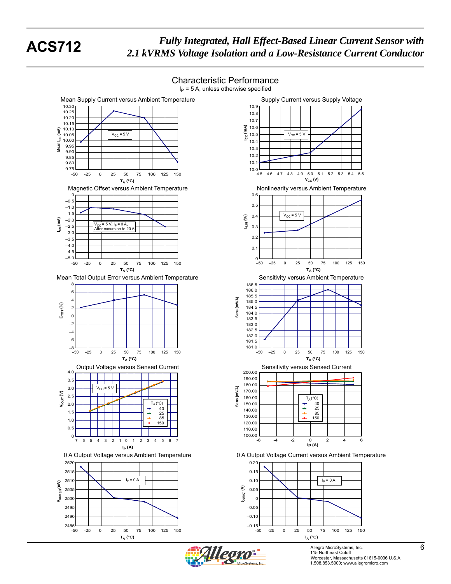# Characteristic Performance











Allegro MicroSystems, Inc. 6 115 Northeast Cutoff **6** Worcester, Massachusetts 01615-0036 U.S.A. 1.508.853.5000; www.allegromicro.com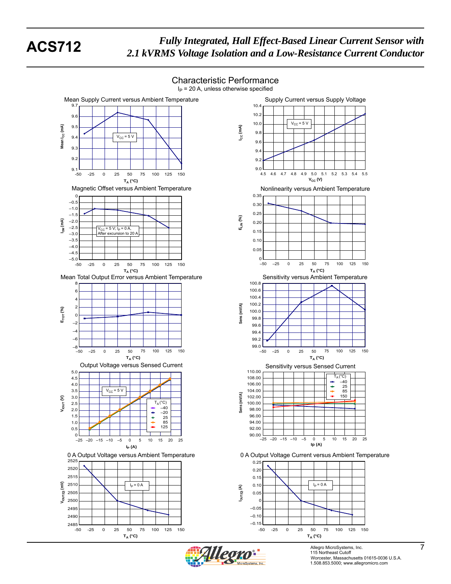

Allegro MicroSystems, Inc. 7<br>115 Northeast Cutoff Worcester, Massachusetts 01615-0036 U.S.A. 1.508.853.5000; www.allegromicro.com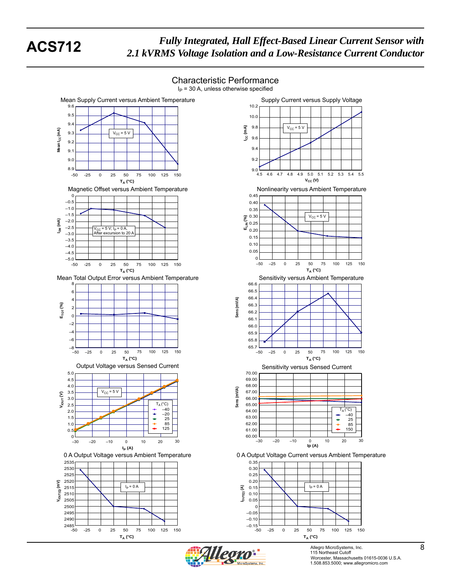Mean I<sub>CC</sub> (mA)

 $\widehat{\mathsf{f}}$ Mean I<sub>cc</sub>

**IOM (mA)**

**ETOT (%)**

**VIOUT (V)**

**VIOUT(Q) (mV)**

ــا 2485<br>50-

**TA (°C)**

-50 -25 0 25 50 75 100 125 150

# *Fully Integrated, Hall Effect-Based Linear Current Sensor with* **ACS712** *2.1 kVRMS Voltage Isolation and a Low-Resistance Current Conductor*

 $I<sub>P</sub>$  = 30 A, unless otherwise specified Mean Supply Current versus Ambient Temperature 10.2 9.6  $9.5$ 10.0 9.4 **ICC (mA)**  $9.8$ 9.3  $V_{CC}$  = 5 V 9.6 9.2 9.4 9.1 9.2 9.0 8.9  $9.0$   $-4.5$ -50 -25 0 25 50 75 100 125 150 **TA (°C)** Magnetic Offset versus Ambient Temperature 0.45 0 –0.5 0.40  $-1.0$ 0.35  $\hat{\mathcal{S}}^{0.30}$  $-1.5$ **S**<sub>0.30</sub><br>EL 0.25<br>■ 0.20  $-2.0$ 0.25 –2.5 V<sub>CC</sub> = 5 V; I<sub>P</sub> = 0 A,<br>After excursion to 20 A –3.0 0.15 –3.5 0.10  $-4.0$ 0.05  $-4.5$ –5.0 0 -50 -25 0 25 50 75 100 125 150 **TA (°C)** Mean Total Output Error versus Ambient Temperature 66.6 8 66.5 6 66.4 Sens (mV/A) **Sens (mV/A)** 4 66.3 2 66.2 0 66.1 –2 66.0 –4 65.9  $-6$ 65.8  $65.7 \perp$  $-50$ –50 –25 0 25 50 75 100 125 150 **TA (°C)** Output Voltage versus Sensed Current 5.0 70.00 4.5 69.00 68.00 4.0  $(mVA)$ **Sens (mV/A)** 3.5  $V_{CC}$  = 5 V 67.00 3.0 66.00 Sens 2.5  $T_A(^{\circ}C)$ <br>-  $-40$ 65.00 TA –40 (°C) 64.00 2.0  $\stackrel{+}{\scriptscriptstyle +}$ 25 –20 63.00 1.5 1.0 ÷ 85 62.00 125 61.00  $0.5$  $_{-30}^{\circ}$  $60.00 - 30$ –30 –20 –10 0 10 20 30 **IP (A)** 0 A Output Voltage versus Ambient Temperature 0 A Output Voltage Current versus Ambient Temperature 2535 0.35 2530 0.30 0.25 252 2520 0.20 2515  $I_P = 0 A$   $I_P = 0 A$   $I_P = 0 A$ **IOUT(Q) (A)** 0.15 2510 0.10 250 0.05 250  $\epsilon$ 2495 –0.05 249

# Characteristic Performance





Allegro MicroSystems, Inc. 6 115 Northeast Cutoff **8** Worcester, Massachusetts 01615-0036 U.S.A. 1.508.853.5000; www.allegromicro.com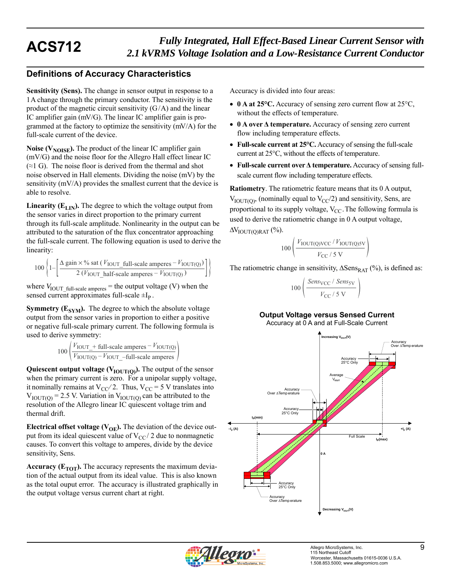# **Definitions of Accuracy Characteristics**

**Sensitivity (Sens).** The change in sensor output in response to a 1 A change through the primary conductor. The sensitivity is the product of the magnetic circuit sensitivity  $(G/A)$  and the linear IC amplifier gain (mV/G). The linear IC amplifier gain is programmed at the factory to optimize the sensitivity (mV/A) for the full-scale current of the device.

**Noise (** $V_{\text{NOISE}}$ **).** The product of the linear IC amplifier gain (mV/G) and the noise floor for the Allegro Hall effect linear IC  $($ ≈1 G). The noise floor is derived from the thermal and shot noise observed in Hall elements. Dividing the noise (mV) by the sensitivity (mV/A) provides the smallest current that the device is able to resolve.

**Linearity (** $E_{LIN}$ **).** The degree to which the voltage output from the sensor varies in direct proportion to the primary current through its full-scale amplitude. Nonlinearity in the output can be attributed to the saturation of the flux concentrator approaching the full-scale current. The following equation is used to derive the linearity:

$$
100\left\{1-\left[\frac{\Delta \text{ gain} \times \% \text{ sat } (V_{\text{IOUT\_full-scale amperes}} - V_{\text{IOUT(Q)}})}{2 (V_{\text{IOUT\_half-scale amperes}} - V_{\text{IOUT(Q)}})}\right]\right\}
$$

where  $V_{\text{IOUT}\_full\-scale}$  amperes = the output voltage (V) when the sensed current approximates full-scale  $\pm I_p$ .

**Symmetry (** $E_{SYM}$ **).** The degree to which the absolute voltage output from the sensor varies in proportion to either a positive or negative full-scale primary current. The following formula is used to derive symmetry:

$$
100\left(\frac{V_{\text{IOUT}} + \text{full-scale amperes} - V_{\text{IOUT(Q)}}}{V_{\text{IOUT(Q)}} - V_{\text{IOUT}} - \text{full-scale amperes}}\right)
$$

**Quiescent output voltage (** $V_{\text{IOUT(O)}}$ **).** The output of the sensor when the primary current is zero. For a unipolar supply voltage, it nominally remains at  $V_{CC}/2$ . Thus,  $V_{CC} = 5$  V translates into  $V_{\text{IOUT(0)}} = 2.5$  V. Variation in  $V_{\text{IOUT(0)}}$  can be attributed to the resolution of the Allegro linear IC quiescent voltage trim and thermal drift.

**Electrical offset voltage (** $V_{OE}$ **).** The deviation of the device output from its ideal quiescent value of  $V_{CC}$  2 due to nonmagnetic causes. To convert this voltage to amperes, divide by the device sensitivity, Sens.

**Accuracy (** $E_{TOT}$ **).** The accuracy represents the maximum deviation of the actual output from its ideal value. This is also known as the total ouput error. The accuracy is illustrated graphically in the output voltage versus current chart at right.

Accuracy is divided into four areas:

- 0 A at 25<sup>o</sup>C. Accuracy of sensing zero current flow at 25<sup>o</sup>C, without the effects of temperature.
- **0 A over Δ temperature.** Accuracy of sensing zero current flow including temperature effects.
- **Full-scale current at 25°C.** Accuracy of sensing the full-scale current at 25°C, without the effects of temperature.
- **Full-scale current over Δ temperature.** Accuracy of sensing fullscale current flow including temperature effects.

**Ratiometry**. The ratiometric feature means that its 0 A output,  $V_{\text{IOUT(0)}}$ , (nominally equal to  $V_{\text{CC}}/2$ ) and sensitivity, Sens, are proportional to its supply voltage,  $V_{CC}$ . The following formula is used to derive the ratiometric change in 0 A output voltage,  $\Delta V_{\text{IOUT}(\text{O})\text{RAT}}$  (%).

$$
100\left(\frac{V_{\text{IOUT(Q)VCC}}/V_{\text{IOUT(Q)SV}}}{V_{\text{CC}}/5\text{ V}}\right)
$$

The ratiometric change in sensitivity,  $\Delta$ Sens<sub>RAT</sub> (%), is defined as:

$$
00\left(\frac{Sens_{\rm VCC} / Sens_{\rm SV}}{V_{\rm CC} / 5 \text{ V}}\right)
$$

 $\mathbf{1}$ 

### **Output Voltage versus Sensed Current**

Accuracy at 0 A and at Full-Scale Current



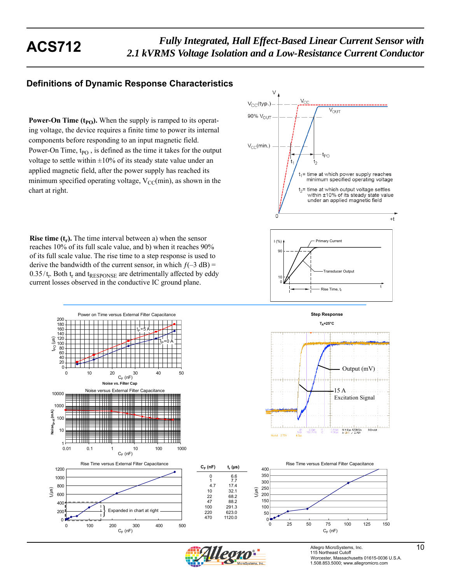# **Definitions of Dynamic Response Characteristics**

**Power-On Time**  $(t_{PO})$ **.** When the supply is ramped to its operating voltage, the device requires a finite time to power its internal components before responding to an input magnetic field. Power-On Time,  $t_{PO}$ , is defined as the time it takes for the output voltage to settle within  $\pm 10\%$  of its steady state value under an applied magnetic field, after the power supply has reached its minimum specified operating voltage,  $V_{CC}(min)$ , as shown in the chart at right.

**Rise time**  $(t_r)$ **.** The time interval between a) when the sensor reaches 10% of its full scale value, and b) when it reaches 90% of its full scale value. The rise time to a step response is used to derive the bandwidth of the current sensor, in which  $f(-3 dB) =$  $0.35/t_r$ . Both  $t_r$  and  $t_{RESPONSE}$  are detrimentally affected by eddy current losses observed in the conductive IC ground plane.







0 100 200 300 400 500

 $C_F$  (nF)

 $\theta$ 200



**Step Response**



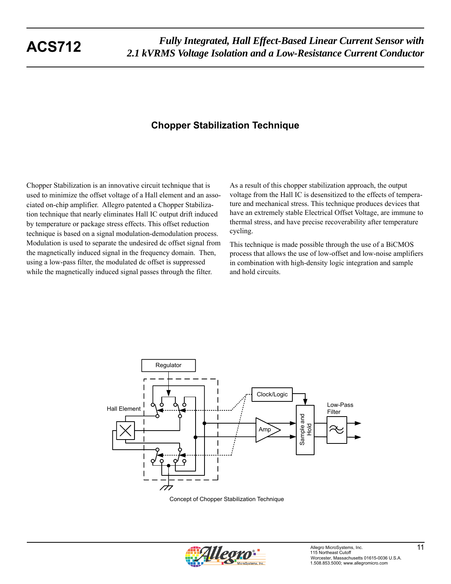# **Chopper Stabilization Technique**

Chopper Stabilization is an innovative circuit technique that is used to minimize the offset voltage of a Hall element and an associated on-chip amplifier. Allegro patented a Chopper Stabilization technique that nearly eliminates Hall IC output drift induced by temperature or package stress effects. This offset reduction technique is based on a signal modulation-demodulation process. Modulation is used to separate the undesired dc offset signal from the magnetically induced signal in the frequency domain. Then, using a low-pass filter, the modulated dc offset is suppressed while the magnetically induced signal passes through the filter.

As a result of this chopper stabilization approach, the output voltage from the Hall IC is desensitized to the effects of temperature and mechanical stress. This technique produces devices that have an extremely stable Electrical Offset Voltage, are immune to thermal stress, and have precise recoverability after temperature cycling.

This technique is made possible through the use of a BiCMOS process that allows the use of low-offset and low-noise amplifiers in combination with high-density logic integration and sample and hold circuits.



Concept of Chopper Stabilization Technique

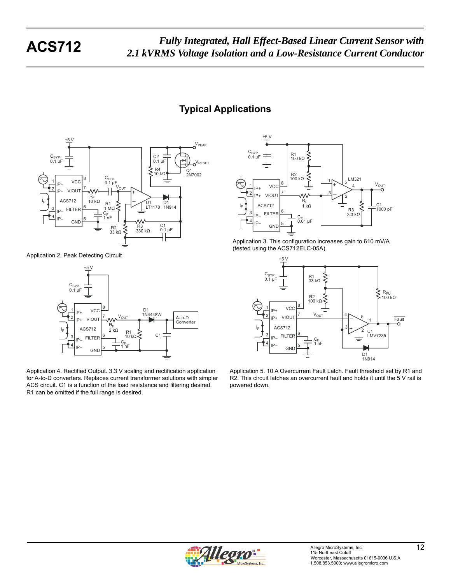# **Typical Applications**



Application 2. Peak Detecting Circuit



Application 4. Rectified Output. 3.3 V scaling and rectification application for A-to-D converters. Replaces current transformer solutions with simpler ACS circuit. C1 is a function of the load resistance and filtering desired. R1 can be omitted if the full range is desired.



Application 3. This configuration increases gain to 610 mV/A (tested using the ACS712ELC-05A).



Application 5. 10 A Overcurrent Fault Latch. Fault threshold set by R1 and R2. This circuit latches an overcurrent fault and holds it until the 5 V rail is powered down.

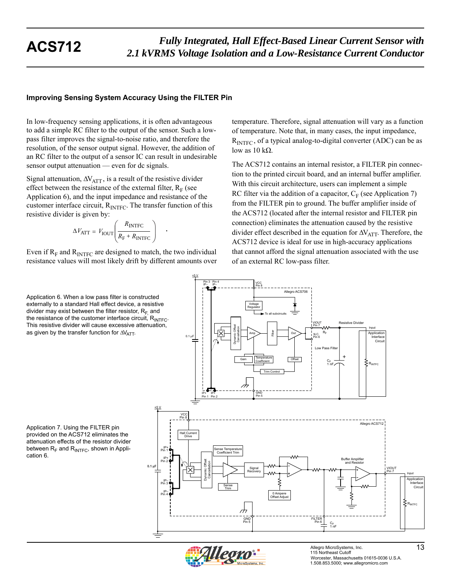## **Improving Sensing System Accuracy Using the FILTER Pin**

In low-frequency sensing applications, it is often advantageous to add a simple RC filter to the output of the sensor. Such a lowpass filter improves the signal-to-noise ratio, and therefore the resolution, of the sensor output signal. However, the addition of an RC filter to the output of a sensor IC can result in undesirable sensor output attenuation — even for dc signals.

Signal attenuation,  $\Delta V_{\text{ATT}}$ , is a result of the resistive divider effect between the resistance of the external filter,  $R_F$  (see Application 6), and the input impedance and resistance of the customer interface circuit,  $R<sub>INTFC</sub>$ . The transfer function of this resistive divider is given by:

$$
\Delta V_{\text{ATT}} = V_{\text{IOUT}} \left( \frac{R_{\text{INTER}}}{R_{\text{F}} + R_{\text{INTER}}} \right) \quad .
$$

Even if  $R_F$  and  $R_{\text{INTER}}$  are designed to match, the two individual resistance values will most likely drift by different amounts over

Application 6. When a low pass filter is constructed externally to a standard Hall effect device, a resistive divider may exist between the filter resistor,  $R_F$  and the resistance of the customer interface circuit,  $R_{\text{INTE}}$ . This resistive divider will cause excessive attenuation, as given by the transfer function for  $\Delta V_{\text{ATT}}$ .

Application 7. Using the FILTER pin provided on the ACS712 eliminates the attenuation effects of the resistor divider between  $R_F$  and  $R_{\text{INTER}}$ , shown in Application 6.

temperature. Therefore, signal attenuation will vary as a function of temperature. Note that, in many cases, the input impedance,  $R<sub>INTEC</sub>$ , of a typical analog-to-digital converter (ADC) can be as low as  $10$  kΩ.

The ACS712 contains an internal resistor, a FILTER pin connection to the printed circuit board, and an internal buffer amplifier. With this circuit architecture, users can implement a simple RC filter via the addition of a capacitor,  $C_F$  (see Application 7) from the FILTER pin to ground. The buffer amplifier inside of the ACS712 (located after the internal resistor and FILTER pin connection) eliminates the attenuation caused by the resistive divider effect described in the equation for  $\Delta V_{\text{ATT}}$ . Therefore, the ACS712 device is ideal for use in high-accuracy applications that cannot afford the signal attenuation associated with the use of an external RC low-pass filter.